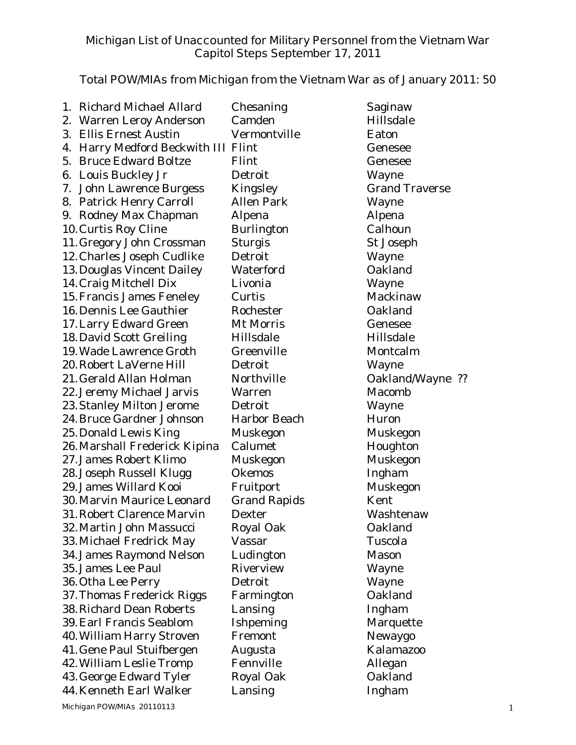## **Michigan List of Unaccounted for Military Personnel from the Vietnam War Capitol Steps September 17, 2011**

## **Total POW/MIAs from Michigan from the Vietnam War as of January 2011: 50**

|            | 1. Richard Michael Allard           | Chesaning           | Saginaw               |  |  |  |  |
|------------|-------------------------------------|---------------------|-----------------------|--|--|--|--|
|            | 2. Warren Leroy Anderson            | Camden              | Hillsdale             |  |  |  |  |
|            | 3. Ellis Ernest Austin              | Vermontville        | Eaton                 |  |  |  |  |
|            | 4. Harry Medford Beckwith III Flint |                     | Genesee               |  |  |  |  |
|            | 5. Bruce Edward Boltze              | Flint               | Genesee               |  |  |  |  |
| 6.         | Louis Buckley Jr                    | Detroit             | Wayne                 |  |  |  |  |
| $\prime$ . | John Lawrence Burgess               | Kingsley            | <b>Grand Traverse</b> |  |  |  |  |
|            | 8. Patrick Henry Carroll            | <b>Allen Park</b>   | Wayne                 |  |  |  |  |
|            | 9. Rodney Max Chapman               | Alpena              | Alpena                |  |  |  |  |
|            | 10. Curtis Roy Cline                | Burlington          | Calhoun               |  |  |  |  |
|            | 11. Gregory John Crossman           | <b>Sturgis</b>      | St Joseph             |  |  |  |  |
|            | 12. Charles Joseph Cudlike          | Detroit             | Wayne                 |  |  |  |  |
|            | 13. Douglas Vincent Dailey          | Waterford           | Oakland               |  |  |  |  |
|            | 14. Craig Mitchell Dix              | Livonia             | Wayne                 |  |  |  |  |
|            | 15. Francis James Feneley           | Curtis              | Mackinaw              |  |  |  |  |
|            | 16. Dennis Lee Gauthier             | Rochester           | Oakland               |  |  |  |  |
|            | 17. Larry Edward Green              | Mt Morris           | Genesee               |  |  |  |  |
|            | 18. David Scott Greiling            | Hillsdale           | Hillsdale             |  |  |  |  |
|            | 19. Wade Lawrence Groth             | Greenville          | Montcalm              |  |  |  |  |
|            | 20. Robert LaVerne Hill             | Detroit             | Wayne                 |  |  |  |  |
|            | 21. Gerald Allan Holman             | Northville          | Oakland/Wayne ??      |  |  |  |  |
|            | 22. Jeremy Michael Jarvis           | Warren              | Macomb                |  |  |  |  |
|            | 23. Stanley Milton Jerome           | Detroit             | Wayne                 |  |  |  |  |
|            | 24. Bruce Gardner Johnson           | Harbor Beach        | Huron                 |  |  |  |  |
|            | 25. Donald Lewis King               | Muskegon            | Muskegon              |  |  |  |  |
|            | 26. Marshall Frederick Kipina       | Calumet             | Houghton              |  |  |  |  |
|            | 27. James Robert Klimo              | Muskegon            | Muskegon              |  |  |  |  |
|            | 28. Joseph Russell Klugg            | <b>Okemos</b>       | Ingham                |  |  |  |  |
|            | 29. James Willard Kooi              | Fruitport           | Muskegon              |  |  |  |  |
|            | 30. Marvin Maurice Leonard          | <b>Grand Rapids</b> | Kent                  |  |  |  |  |
|            | 31. Robert Clarence Marvin          | Dexter              | Washtenaw             |  |  |  |  |
|            | 32. Martin John Massucci            | Royal Oak           | Oakland               |  |  |  |  |
|            | 33. Michael Fredrick May            | Vassar              | Tuscola               |  |  |  |  |
|            | 34. James Raymond Nelson            | Ludington           | Mason                 |  |  |  |  |
|            | 35. James Lee Paul                  | Riverview           | Wayne                 |  |  |  |  |
|            | 36. Otha Lee Perry                  | Detroit             | Wayne                 |  |  |  |  |
|            | 37. Thomas Frederick Riggs          | Farmington          | Oakland               |  |  |  |  |
|            | 38. Richard Dean Roberts            | Lansing             | Ingham                |  |  |  |  |
|            | 39. Earl Francis Seablom            | Ishpeming           | Marquette             |  |  |  |  |
|            | 40. William Harry Stroven           | Fremont             | Newaygo               |  |  |  |  |
|            | 41. Gene Paul Stuifbergen           | Augusta             | Kalamazoo             |  |  |  |  |
|            | 42. William Leslie Tromp            | Fennville           | Allegan               |  |  |  |  |
|            | 43. George Edward Tyler             | Royal Oak           | Oakland               |  |  |  |  |
|            | 44. Kenneth Earl Walker             | Lansing             | Ingham                |  |  |  |  |
|            | Michigan POW/MIAs 20110113<br>1     |                     |                       |  |  |  |  |